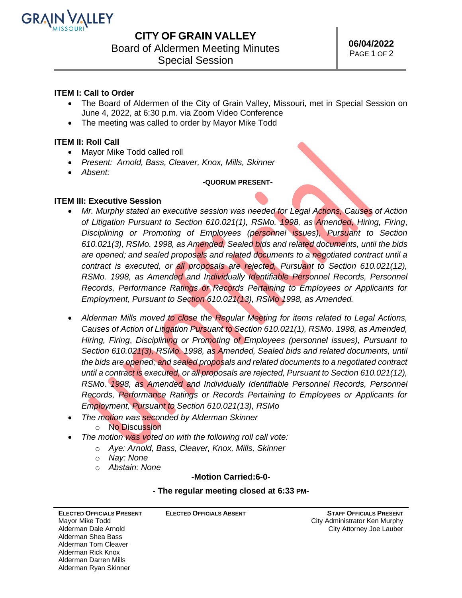

## **CITY OF GRAIN VALLEY**

Board of Aldermen Meeting Minutes

Special Session

### **ITEM I: Call to Order**

- The Board of Aldermen of the City of Grain Valley, Missouri, met in Special Session on June 4, 2022, at 6:30 p.m. via Zoom Video Conference
- The meeting was called to order by Mayor Mike Todd

### **ITEM II: Roll Call**

- Mayor Mike Todd called roll
- *Present: Arnold, Bass, Cleaver, Knox, Mills, Skinner*
- *Absent:*

#### **-QUORUM PRESENT-**

#### **ITEM III: Executive Session**

- *Mr. Murphy stated an executive session was needed for Legal Actions, Causes of Action of Litigation Pursuant to Section 610.021(1), RSMo. 1998, as Amended, Hiring, Firing*, *Disciplining or Promoting of Employees (personnel issues), Pursuant to Section 610.021(3), RSMo. 1998, as Amended, Sealed bids and related documents, until the bids are opened; and sealed proposals and related documents to a negotiated contract until a contract is executed, or all proposals are rejected, Pursuant to Section 610.021(12), RSMo. 1998, as Amended and Individually Identifiable Personnel Records, Personnel Records, Performance Ratings or Records Pertaining to Employees or Applicants for Employment, Pursuant to Section 610.021(13), RSMo 1998, as Amended.*
- *Alderman Mills moved to close the Regular Meeting for items related to Legal Actions, Causes of Action of Litigation Pursuant to Section 610.021(1), RSMo. 1998, as Amended, Hiring, Firing*, *Disciplining or Promoting of Employees (personnel issues), Pursuant to Section 610.021(3), RSMo. 1998, as Amended, Sealed bids and related documents, until the bids are opened; and sealed proposals and related documents to a negotiated contract until a contract is executed, or all proposals are rejected, Pursuant to Section 610.021(12), RSMo. 1998, as Amended and Individually Identifiable Personnel Records, Personnel Records, Performance Ratings or Records Pertaining to Employees or Applicants for Employment, Pursuant to Section 610.021(13), RSMo*
- *The motion was seconded by Alderman Skinner*
	- o No Discussion
- *The motion was voted on with the following roll call vote:*
	- o *Aye: Arnold, Bass, Cleaver, Knox, Mills, Skinner*

**ELECTED OFFICIALS ABSENT**

- o *Nay: None*
- o *Abstain: None*

#### *-***Motion Carried:6-0-**

#### **- The regular meeting closed at 6:33 PM-**

| <b>ELECTED OFFICIALS PRESENT</b> |
|----------------------------------|
| Mayor Mike Todd                  |
| Alderman Dale Arnold             |
| Alderman Shea Bass               |
| Alderman Tom Cleaver             |
| Alderman Rick Knox               |
| Alderman Darren Mills            |
| Alderman Ryan Skinner            |

**STAFF OFFICIALS PRESENT** City Administrator Ken Murphy City Attorney Joe Lauber